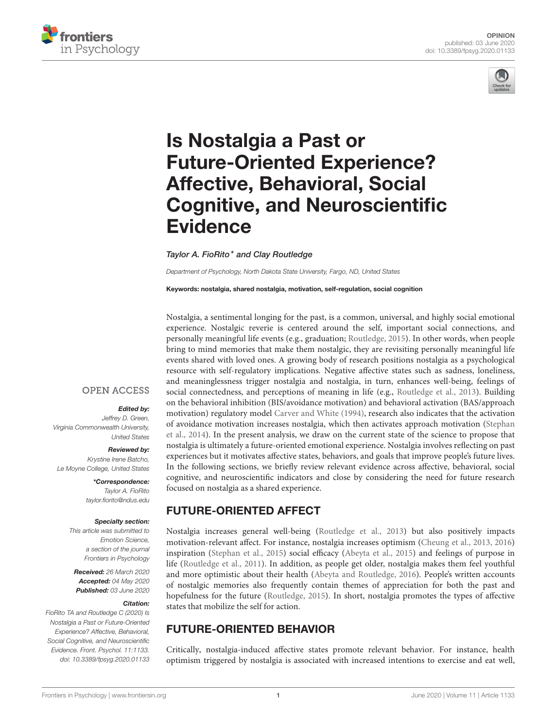



# Is Nostalgia a Past or Future-Oriented Experience? Affective, Behavioral, Social [Cognitive, and Neuroscientific](https://www.frontiersin.org/articles/10.3389/fpsyg.2020.01133/full) **Evidence**

[Taylor A. FioRito\\*](http://loop.frontiersin.org/people/857522/overview) and [Clay Routledge](http://loop.frontiersin.org/people/944060/overview)

*Department of Psychology, North Dakota State University, Fargo, ND, United States*

Keywords: nostalgia, shared nostalgia, motivation, self-regulation, social cognition

Nostalgia, a sentimental longing for the past, is a common, universal, and highly social emotional experience. Nostalgic reverie is centered around the self, important social connections, and personally meaningful life events (e.g., graduation; [Routledge, 2015\)](#page-2-0). In other words, when people bring to mind memories that make them nostalgic, they are revisiting personally meaningful life events shared with loved ones. A growing body of research positions nostalgia as a psychological resource with self-regulatory implications. Negative affective states such as sadness, loneliness, and meaninglessness trigger nostalgia and nostalgia, in turn, enhances well-being, feelings of social connectedness, and perceptions of meaning in life (e.g., [Routledge et al., 2013\)](#page-2-1). Building on the behavioral inhibition (BIS/avoidance motivation) and behavioral activation (BAS/approach motivation) regulatory model [Carver and White \(1994\)](#page-2-2), research also indicates that the activation of avoidance motivation increases nostalgia, which then activates approach motivation (Stephan et al., [2014\)](#page-2-3). In the present analysis, we draw on the current state of the science to propose that nostalgia is ultimately a future-oriented emotional experience. Nostalgia involves reflecting on past experiences but it motivates affective states, behaviors, and goals that improve people's future lives. In the following sections, we briefly review relevant evidence across affective, behavioral, social cognitive, and neuroscientific indicators and close by considering the need for future research focused on nostalgia as a shared experience.

## FUTURE-ORIENTED AFFECT

Nostalgia increases general well-being [\(Routledge et al., 2013\)](#page-2-1) but also positively impacts motivation-relevant affect. For instance, nostalgia increases optimism [\(Cheung et al., 2013,](#page-2-4) [2016\)](#page-2-5) inspiration [\(Stephan et al., 2015\)](#page-2-6) social efficacy [\(Abeyta et al., 2015\)](#page-2-7) and feelings of purpose in life [\(Routledge et al., 2011\)](#page-2-8). In addition, as people get older, nostalgia makes them feel youthful and more optimistic about their health [\(Abeyta and Routledge, 2016\)](#page-2-9). People's written accounts of nostalgic memories also frequently contain themes of appreciation for both the past and hopefulness for the future [\(Routledge, 2015\)](#page-2-0). In short, nostalgia promotes the types of affective states that mobilize the self for action.

## FUTURE-ORIENTED BEHAVIOR

Critically, nostalgia-induced affective states promote relevant behavior. For instance, health optimism triggered by nostalgia is associated with increased intentions to exercise and eat well,

#### **OPEN ACCESS**

#### Edited by:

*Jeffrey D. Green, Virginia Commonwealth University, United States*

Reviewed by: *Krystine Irene Batcho, Le Moyne College, United States*

> \*Correspondence: *Taylor A. FioRito [taylor.fiorito@ndus.edu](mailto:taylor.fiorito@ndus.edu)*

#### Specialty section:

*This article was submitted to Emotion Science, a section of the journal Frontiers in Psychology*

Received: *26 March 2020* Accepted: *04 May 2020* Published: *03 June 2020*

#### Citation:

*FioRito TA and Routledge C (2020) Is Nostalgia a Past or Future-Oriented Experience? Affective, Behavioral, Social Cognitive, and Neuroscientific Evidence. Front. Psychol. 11:1133. doi: [10.3389/fpsyg.2020.01133](https://doi.org/10.3389/fpsyg.2020.01133)*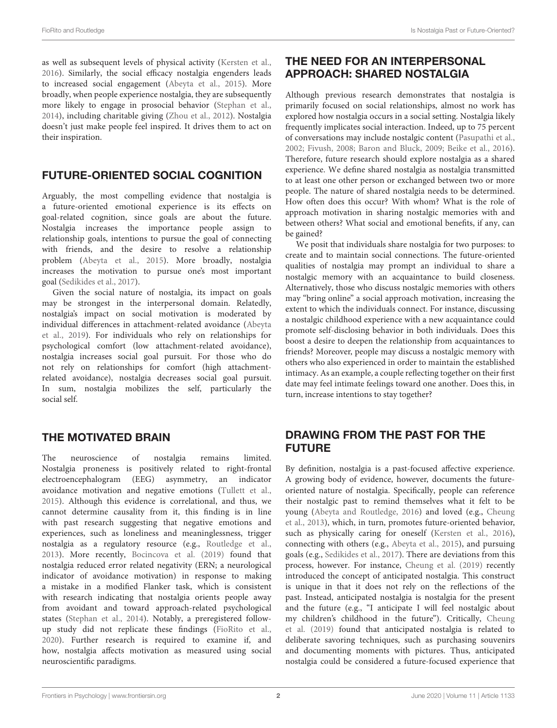as well as subsequent levels of physical activity [\(Kersten et al.,](#page-2-10) [2016\)](#page-2-10). Similarly, the social efficacy nostalgia engenders leads to increased social engagement [\(Abeyta et al., 2015\)](#page-2-7). More broadly, when people experience nostalgia, they are subsequently more likely to engage in prosocial behavior [\(Stephan et al.,](#page-2-3) [2014\)](#page-2-3), including charitable giving [\(Zhou et al., 2012\)](#page-2-11). Nostalgia doesn't just make people feel inspired. It drives them to act on their inspiration.

## FUTURE-ORIENTED SOCIAL COGNITION

Arguably, the most compelling evidence that nostalgia is a future-oriented emotional experience is its effects on goal-related cognition, since goals are about the future. Nostalgia increases the importance people assign to relationship goals, intentions to pursue the goal of connecting with friends, and the desire to resolve a relationship problem [\(Abeyta et al., 2015\)](#page-2-7). More broadly, nostalgia increases the motivation to pursue one's most important goal [\(Sedikides et al., 2017\)](#page-2-12).

Given the social nature of nostalgia, its impact on goals may be strongest in the interpersonal domain. Relatedly, nostalgia's impact on social motivation is moderated by individual differences in attachment-related avoidance (Abeyta et al., [2019\)](#page-2-13). For individuals who rely on relationships for psychological comfort (low attachment-related avoidance), nostalgia increases social goal pursuit. For those who do not rely on relationships for comfort (high attachmentrelated avoidance), nostalgia decreases social goal pursuit. In sum, nostalgia mobilizes the self, particularly the social self.

# THE MOTIVATED BRAIN

The neuroscience of nostalgia remains limited. Nostalgia proneness is positively related to right-frontal electroencephalogram (EEG) asymmetry, an indicator avoidance motivation and negative emotions [\(Tullett et al.,](#page-2-14) [2015\)](#page-2-14). Although this evidence is correlational, and thus, we cannot determine causality from it, this finding is in line with past research suggesting that negative emotions and experiences, such as loneliness and meaninglessness, trigger nostalgia as a regulatory resource (e.g., [Routledge et al.,](#page-2-1) [2013\)](#page-2-1). More recently, [Bocincova et al. \(2019\)](#page-2-15) found that nostalgia reduced error related negativity (ERN; a neurological indicator of avoidance motivation) in response to making a mistake in a modified Flanker task, which is consistent with research indicating that nostalgia orients people away from avoidant and toward approach-related psychological states [\(Stephan et al., 2014\)](#page-2-3). Notably, a preregistered followup study did not replicate these findings [\(FioRito et al.,](#page-2-16) [2020\)](#page-2-16). Further research is required to examine if, and how, nostalgia affects motivation as measured using social neuroscientific paradigms.

# THE NEED FOR AN INTERPERSONAL APPROACH: SHARED NOSTALGIA

Although previous research demonstrates that nostalgia is primarily focused on social relationships, almost no work has explored how nostalgia occurs in a social setting. Nostalgia likely frequently implicates social interaction. Indeed, up to 75 percent of conversations may include nostalgic content [\(Pasupathi et al.,](#page-2-17) [2002;](#page-2-17) [Fivush, 2008;](#page-2-18) [Baron and Bluck, 2009;](#page-2-19) [Beike et al., 2016\)](#page-2-20). Therefore, future research should explore nostalgia as a shared experience. We define shared nostalgia as nostalgia transmitted to at least one other person or exchanged between two or more people. The nature of shared nostalgia needs to be determined. How often does this occur? With whom? What is the role of approach motivation in sharing nostalgic memories with and between others? What social and emotional benefits, if any, can be gained?

We posit that individuals share nostalgia for two purposes: to create and to maintain social connections. The future-oriented qualities of nostalgia may prompt an individual to share a nostalgic memory with an acquaintance to build closeness. Alternatively, those who discuss nostalgic memories with others may "bring online" a social approach motivation, increasing the extent to which the individuals connect. For instance, discussing a nostalgic childhood experience with a new acquaintance could promote self-disclosing behavior in both individuals. Does this boost a desire to deepen the relationship from acquaintances to friends? Moreover, people may discuss a nostalgic memory with others who also experienced in order to maintain the established intimacy. As an example, a couple reflecting together on their first date may feel intimate feelings toward one another. Does this, in turn, increase intentions to stay together?

## DRAWING FROM THE PAST FOR THE FUTURE

By definition, nostalgia is a past-focused affective experience. A growing body of evidence, however, documents the futureoriented nature of nostalgia. Specifically, people can reference their nostalgic past to remind themselves what it felt to be young [\(Abeyta and Routledge, 2016\)](#page-2-9) and loved (e.g., Cheung et al., [2013\)](#page-2-4), which, in turn, promotes future-oriented behavior, such as physically caring for oneself [\(Kersten et al., 2016\)](#page-2-10), connecting with others (e.g., [Abeyta et al., 2015\)](#page-2-7), and pursuing goals (e.g., [Sedikides et al., 2017\)](#page-2-12). There are deviations from this process, however. For instance, [Cheung et al. \(2019\)](#page-2-21) recently introduced the concept of anticipated nostalgia. This construct is unique in that it does not rely on the reflections of the past. Instead, anticipated nostalgia is nostalgia for the present and the future (e.g., "I anticipate I will feel nostalgic about my children's childhood in the future"). Critically, Cheung et al. [\(2019\)](#page-2-21) found that anticipated nostalgia is related to deliberate savoring techniques, such as purchasing souvenirs and documenting moments with pictures. Thus, anticipated nostalgia could be considered a future-focused experience that